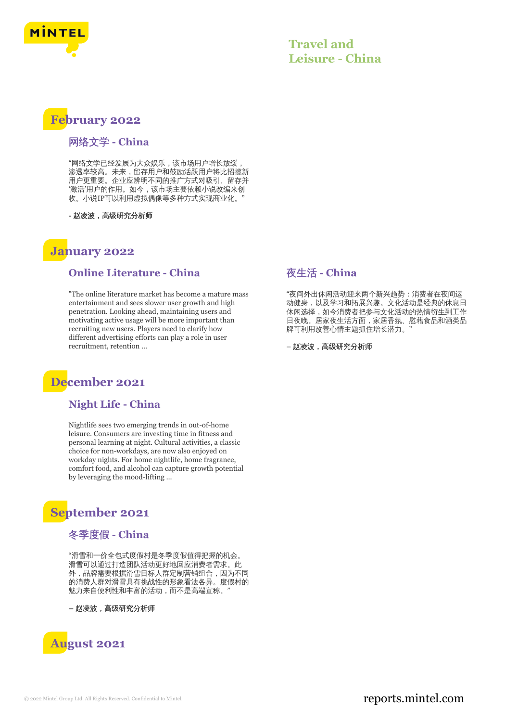

### **Travel and Leisure - China**

### **February 2022**

#### 网络文学 **- China**

"网络文学已经发展为大众娱乐,该市场用户增长放缓, 渗透率较高。未来,留存用户和鼓励活跃用户将比招揽新 用户更重要。企业应辨明不同的推广方式对吸引、留存并 '激活'用户的作用。如今,该市场主要依赖小说改编来创 收。小说IP可以利用虚拟偶像等多种方式实现商业化。

**-** 赵凌波,高级研究分析师

### **January 2022**

#### **Online Literature - China**

"The online literature market has become a mature mass entertainment and sees slower user growth and high penetration. Looking ahead, maintaining users and motivating active usage will be more important than recruiting new users. Players need to clarify how different advertising efforts can play a role in user recruitment, retention ...

# **December 2021**

#### **Night Life - China**

Nightlife sees two emerging trends in out-of-home leisure. Consumers are investing time in fitness and personal learning at night. Cultural activities, a classic choice for non-workdays, are now also enjoyed on workday nights. For home nightlife, home fragrance, comfort food, and alcohol can capture growth potential by leveraging the mood-lifting ...

### **September 2021**

#### 冬季度假 **- China**

"滑雪和一价全包式度假村是冬季度假值得把握的机会。 滑雪可以通过打造团队活动更好地回应消费者需求。此 外,品牌需要根据滑雪目标人群定制营销组合,因为不同 的消费人群对滑雪具有挑战性的形象看法各异。度假村的 魅力来自便利性和丰富的活动,而不是高端宣称。"

**–** 赵凌波,高级研究分析师



### 夜生活 **- China**

"夜间外出休闲活动迎来两个新兴趋势:消费者在夜间运 动健身,以及学习和拓展兴趣。文化活动是经典的休息日 休闲选择,如今消费者把参与文化活动的热情衍生到工作 日夜晚。居家夜生活方面,家居香氛、慰藉食品和酒类品 牌可利用改善心情主题抓住增长潜力。

– 赵凌波,高级研究分析师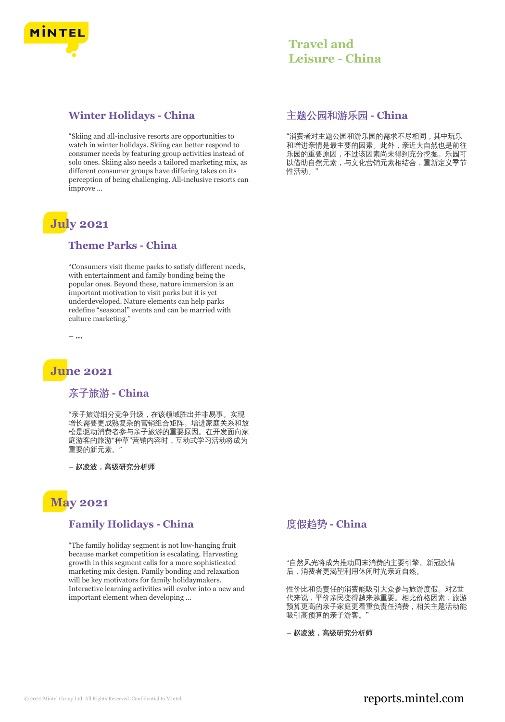

#### **Winter Holidays - China**

"Skiing and all-inclusive resorts are opportunities to watch in winter holidays. Skiing can better respond to consumer needs by featuring group activities instead of solo ones. Skiing also needs a tailored marketing mix, as different consumer groups have differing takes on its perception of being challenging. All-inclusive resorts can improve ...

# **July 2021**

#### **Theme Parks - China**

"Consumers visit theme parks to satisfy different needs, with entertainment and family bonding being the popular ones. Beyond these, nature immersion is an important motivation to visit parks but it is yet underdeveloped. Nature elements can help parks redefine "seasonal" events and can be married with culture marketing."

**– ...**

# **June 2021**

### 亲子旅游 **- China**

"亲子旅游细分竞争升级,在该领域胜出并非易事。实现 增长需要更成熟复杂的营销组合矩阵。增进家庭关系和放 松是驱动消费者参与亲子旅游的重要原因。在开发面向家 庭游客的旅游"种草"营销内容时,互动式学习活动将成为 重要的新元素。"

**–** 赵凌波,高级研究分析师

# **May 2021**

### **Family Holidays - China**

"The family holiday segment is not low-hanging fruit because market competition is escalating. Harvesting growth in this segment calls for a more sophisticated marketing mix design. Family bonding and relaxation will be key motivators for family holidaymakers. Interactive learning activities will evolve into a new and important element when developing ...

### 主题公园和游乐园 **- China**

"消费者对主题公园和游乐园的需求不尽相同,其中玩乐 和增进亲情是最主要的因素。此外,亲近大自然也是前往 乐园的重要原因,不过该因素尚未得到充分挖掘。乐园可 以借助自然元素,与文化营销元素相结合,重新定义季节 性活动。"

### 度假趋势 **- China**

"自然风光将成为推动周末消费的主要引擎。新冠疫情 后,消费者更渴望利用休闲时光亲近自然。

性价比和负责任的消费能吸引大众参与旅游度假。对Z世 代来说,平价亲民变得越来越重要。相比价格因素,旅游 预算更高的亲子家庭更看重负责任消费,相关主题活动能 吸引高预算的亲子游客。"

**–** 赵凌波,高级研究分析师